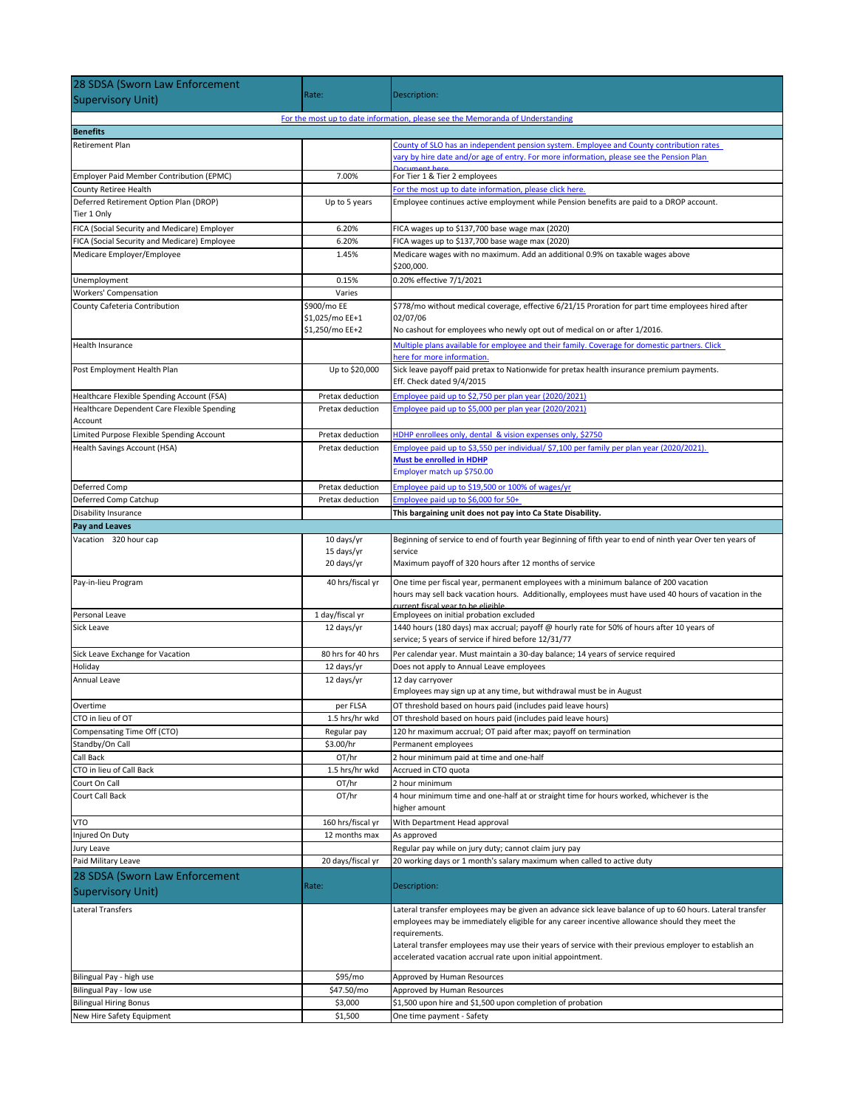| For the most up to date information, please see the Memoranda of Understanding<br>County of SLO has an independent pension system. Employee and County contribution rates<br>Retirement Plan<br>vary by hire date and/or age of entry. For more information, please see the Pension Plan<br>7.00%<br>For Tier 1 & Tier 2 employees<br>Employer Paid Member Contribution (EPMC)<br>County Retiree Health<br>For the most up to date information, please click here.<br>Deferred Retirement Option Plan (DROP)<br>Employee continues active employment while Pension benefits are paid to a DROP account.<br>Up to 5 years<br>Tier 1 Only<br>FICA (Social Security and Medicare) Employer<br>6.20%<br>FICA wages up to \$137,700 base wage max (2020)<br>FICA (Social Security and Medicare) Employee<br>6.20%<br>FICA wages up to \$137,700 base wage max (2020)<br>Medicare Employer/Employee<br>Medicare wages with no maximum. Add an additional 0.9% on taxable wages above<br>1.45%<br>\$200,000.<br>0.20% effective 7/1/2021<br>Unemployment<br>0.15%<br><b>Workers' Compensation</b><br>Varies<br>\$900/mo EE<br>\$778/mo without medical coverage, effective 6/21/15 Proration for part time employees hired after<br>County Cafeteria Contribution<br>02/07/06<br>\$1,025/mo EE+1<br>\$1,250/mo EE+2<br>No cashout for employees who newly opt out of medical on or after 1/2016.<br>Multiple plans available for employee and their family. Coverage for domestic partners. Click<br>here for more information.<br>Up to \$20,000<br>Sick leave payoff paid pretax to Nationwide for pretax health insurance premium payments.<br>Eff. Check dated 9/4/2015<br>Employee paid up to \$2,750 per plan year (2020/2021)<br>Pretax deduction<br>Employee paid up to \$5,000 per plan year (2020/2021)<br>Healthcare Dependent Care Flexible Spending<br>Pretax deduction<br>Account<br>Limited Purpose Flexible Spending Account<br>Pretax deduction<br>HDHP enrollees only, dental & vision expenses only, \$2750<br>Employee paid up to \$3,550 per individual/ \$7,100 per family per plan year (2020/2021).<br>Health Savings Account (HSA)<br>Pretax deduction<br>Must be enrolled in HDHP<br>Employer match up \$750.00<br>Employee paid up to \$19,500 or 100% of wages/yr<br>Pretax deduction<br>Employee paid up to \$6,000 for 50+<br>Pretax deduction<br>This bargaining unit does not pay into Ca State Disability.<br>Vacation 320 hour cap<br>10 days/yr<br>Beginning of service to end of fourth year Beginning of fifth year to end of ninth year Over ten years of<br>15 days/yr<br>service<br>20 days/yr<br>Maximum payoff of 320 hours after 12 months of service<br>Pay-in-lieu Program<br>40 hrs/fiscal yr<br>One time per fiscal year, permanent employees with a minimum balance of 200 vacation<br>hours may sell back vacation hours. Additionally, employees must have used 40 hours of vacation in the<br>current fiscal vear to be eligible.<br>1 day/fiscal yr<br>Employees on initial probation excluded<br>12 days/yr<br>1440 hours (180 days) max accrual; payoff @ hourly rate for 50% of hours after 10 years of<br>service; 5 years of service if hired before 12/31/77<br>Sick Leave Exchange for Vacation<br>80 hrs for 40 hrs<br>Per calendar year. Must maintain a 30-day balance; 14 years of service required<br>12 days/yr<br>Does not apply to Annual Leave employees<br>12 days/yr<br>12 day carryover<br>Employees may sign up at any time, but withdrawal must be in August<br>per FLSA<br>OT threshold based on hours paid (includes paid leave hours)<br>Overtime<br>CTO in lieu of OT<br>1.5 hrs/hr wkd<br>OT threshold based on hours paid (includes paid leave hours)<br>Compensating Time Off (CTO)<br>120 hr maximum accrual; OT paid after max; payoff on termination<br>Regular pay<br>Standby/On Call<br>\$3.00/hr<br>Permanent employees<br>OT/hr<br>2 hour minimum paid at time and one-half<br>Call Back<br>CTO in lieu of Call Back<br>1.5 hrs/hr wkd<br>Accrued in CTO quota<br>OT/hr<br>2 hour minimum<br>Court Call Back<br>OT/hr<br>4 hour minimum time and one-half at or straight time for hours worked, whichever is the<br>higher amount<br>160 hrs/fiscal yr<br>VTO<br>With Department Head approval<br>Injured On Duty<br>12 months max<br>As approved<br>Jury Leave<br>Regular pay while on jury duty; cannot claim jury pay<br>Paid Military Leave<br>20 days/fiscal yr<br>20 working days or 1 month's salary maximum when called to active duty<br>28 SDSA (Sworn Law Enforcement<br>Rate:<br>Description:<br>Lateral Transfers<br>Lateral transfer employees may be given an advance sick leave balance of up to 60 hours. Lateral transfer<br>employees may be immediately eligible for any career incentive allowance should they meet the<br>requirements.<br>Lateral transfer employees may use their years of service with their previous employer to establish an<br>accelerated vacation accrual rate upon initial appointment.<br>Bilingual Pay - high use<br>\$95/mo<br>Approved by Human Resources<br>\$47.50/mo<br>Bilingual Pay - low use<br>Approved by Human Resources<br>\$1,500 upon hire and \$1,500 upon completion of probation<br>\$3,000<br>New Hire Safety Equipment<br>\$1,500<br>One time payment - Safety | 28 SDSA (Sworn Law Enforcement             |       |              |
|--------------------------------------------------------------------------------------------------------------------------------------------------------------------------------------------------------------------------------------------------------------------------------------------------------------------------------------------------------------------------------------------------------------------------------------------------------------------------------------------------------------------------------------------------------------------------------------------------------------------------------------------------------------------------------------------------------------------------------------------------------------------------------------------------------------------------------------------------------------------------------------------------------------------------------------------------------------------------------------------------------------------------------------------------------------------------------------------------------------------------------------------------------------------------------------------------------------------------------------------------------------------------------------------------------------------------------------------------------------------------------------------------------------------------------------------------------------------------------------------------------------------------------------------------------------------------------------------------------------------------------------------------------------------------------------------------------------------------------------------------------------------------------------------------------------------------------------------------------------------------------------------------------------------------------------------------------------------------------------------------------------------------------------------------------------------------------------------------------------------------------------------------------------------------------------------------------------------------------------------------------------------------------------------------------------------------------------------------------------------------------------------------------------------------------------------------------------------------------------------------------------------------------------------------------------------------------------------------------------------------------------------------------------------------------------------------------------------------------------------------------------------------------------------------------------------------------------------------------------------------------------------------------------------------------------------------------------------------------------------------------------------------------------------------------------------------------------------------------------------------------------------------------------------------------------------------------------------------------------------------------------------------------------------------------------------------------------------------------------------------------------------------------------------------------------------------------------------------------------------------------------------------------------------------------------------------------------------------------------------------------------------------------------------------------------------------------------------------------------------------------------------------------------------------------------------------------------------------------------------------------------------------------------------------------------------------------------------------------------------------------------------------------------------------------------------------------------------------------------------------------------------------------------------------------------------------------------------------------------------------------------------------------------------------------------------------------------------------------------------------------------------------------------------------------------------------------------------------------------------------------------------------------------------------------------------------------------------------------------------------------------------------------------------------------------------------------------------------------------------------------------------------------------------------------------------------------------------------------------------------------------------------------------------------------------------------------------------------------------------------------------------------------------------------------------------------------------------------------------------------------------------------------------------------------------------------------------------------------------------------------------------------------------------------------------------|--------------------------------------------|-------|--------------|
|                                                                                                                                                                                                                                                                                                                                                                                                                                                                                                                                                                                                                                                                                                                                                                                                                                                                                                                                                                                                                                                                                                                                                                                                                                                                                                                                                                                                                                                                                                                                                                                                                                                                                                                                                                                                                                                                                                                                                                                                                                                                                                                                                                                                                                                                                                                                                                                                                                                                                                                                                                                                                                                                                                                                                                                                                                                                                                                                                                                                                                                                                                                                                                                                                                                                                                                                                                                                                                                                                                                                                                                                                                                                                                                                                                                                                                                                                                                                                                                                                                                                                                                                                                                                                                                                                                                                                                                                                                                                                                                                                                                                                                                                                                                                                                                                                                                                                                                                                                                                                                                                                                                                                                                                                                                                                                                    | <b>Supervisory Unit)</b>                   | Rate: | Description: |
|                                                                                                                                                                                                                                                                                                                                                                                                                                                                                                                                                                                                                                                                                                                                                                                                                                                                                                                                                                                                                                                                                                                                                                                                                                                                                                                                                                                                                                                                                                                                                                                                                                                                                                                                                                                                                                                                                                                                                                                                                                                                                                                                                                                                                                                                                                                                                                                                                                                                                                                                                                                                                                                                                                                                                                                                                                                                                                                                                                                                                                                                                                                                                                                                                                                                                                                                                                                                                                                                                                                                                                                                                                                                                                                                                                                                                                                                                                                                                                                                                                                                                                                                                                                                                                                                                                                                                                                                                                                                                                                                                                                                                                                                                                                                                                                                                                                                                                                                                                                                                                                                                                                                                                                                                                                                                                                    |                                            |       |              |
|                                                                                                                                                                                                                                                                                                                                                                                                                                                                                                                                                                                                                                                                                                                                                                                                                                                                                                                                                                                                                                                                                                                                                                                                                                                                                                                                                                                                                                                                                                                                                                                                                                                                                                                                                                                                                                                                                                                                                                                                                                                                                                                                                                                                                                                                                                                                                                                                                                                                                                                                                                                                                                                                                                                                                                                                                                                                                                                                                                                                                                                                                                                                                                                                                                                                                                                                                                                                                                                                                                                                                                                                                                                                                                                                                                                                                                                                                                                                                                                                                                                                                                                                                                                                                                                                                                                                                                                                                                                                                                                                                                                                                                                                                                                                                                                                                                                                                                                                                                                                                                                                                                                                                                                                                                                                                                                    | <b>Benefits</b>                            |       |              |
|                                                                                                                                                                                                                                                                                                                                                                                                                                                                                                                                                                                                                                                                                                                                                                                                                                                                                                                                                                                                                                                                                                                                                                                                                                                                                                                                                                                                                                                                                                                                                                                                                                                                                                                                                                                                                                                                                                                                                                                                                                                                                                                                                                                                                                                                                                                                                                                                                                                                                                                                                                                                                                                                                                                                                                                                                                                                                                                                                                                                                                                                                                                                                                                                                                                                                                                                                                                                                                                                                                                                                                                                                                                                                                                                                                                                                                                                                                                                                                                                                                                                                                                                                                                                                                                                                                                                                                                                                                                                                                                                                                                                                                                                                                                                                                                                                                                                                                                                                                                                                                                                                                                                                                                                                                                                                                                    |                                            |       |              |
|                                                                                                                                                                                                                                                                                                                                                                                                                                                                                                                                                                                                                                                                                                                                                                                                                                                                                                                                                                                                                                                                                                                                                                                                                                                                                                                                                                                                                                                                                                                                                                                                                                                                                                                                                                                                                                                                                                                                                                                                                                                                                                                                                                                                                                                                                                                                                                                                                                                                                                                                                                                                                                                                                                                                                                                                                                                                                                                                                                                                                                                                                                                                                                                                                                                                                                                                                                                                                                                                                                                                                                                                                                                                                                                                                                                                                                                                                                                                                                                                                                                                                                                                                                                                                                                                                                                                                                                                                                                                                                                                                                                                                                                                                                                                                                                                                                                                                                                                                                                                                                                                                                                                                                                                                                                                                                                    |                                            |       |              |
|                                                                                                                                                                                                                                                                                                                                                                                                                                                                                                                                                                                                                                                                                                                                                                                                                                                                                                                                                                                                                                                                                                                                                                                                                                                                                                                                                                                                                                                                                                                                                                                                                                                                                                                                                                                                                                                                                                                                                                                                                                                                                                                                                                                                                                                                                                                                                                                                                                                                                                                                                                                                                                                                                                                                                                                                                                                                                                                                                                                                                                                                                                                                                                                                                                                                                                                                                                                                                                                                                                                                                                                                                                                                                                                                                                                                                                                                                                                                                                                                                                                                                                                                                                                                                                                                                                                                                                                                                                                                                                                                                                                                                                                                                                                                                                                                                                                                                                                                                                                                                                                                                                                                                                                                                                                                                                                    |                                            |       |              |
|                                                                                                                                                                                                                                                                                                                                                                                                                                                                                                                                                                                                                                                                                                                                                                                                                                                                                                                                                                                                                                                                                                                                                                                                                                                                                                                                                                                                                                                                                                                                                                                                                                                                                                                                                                                                                                                                                                                                                                                                                                                                                                                                                                                                                                                                                                                                                                                                                                                                                                                                                                                                                                                                                                                                                                                                                                                                                                                                                                                                                                                                                                                                                                                                                                                                                                                                                                                                                                                                                                                                                                                                                                                                                                                                                                                                                                                                                                                                                                                                                                                                                                                                                                                                                                                                                                                                                                                                                                                                                                                                                                                                                                                                                                                                                                                                                                                                                                                                                                                                                                                                                                                                                                                                                                                                                                                    |                                            |       |              |
|                                                                                                                                                                                                                                                                                                                                                                                                                                                                                                                                                                                                                                                                                                                                                                                                                                                                                                                                                                                                                                                                                                                                                                                                                                                                                                                                                                                                                                                                                                                                                                                                                                                                                                                                                                                                                                                                                                                                                                                                                                                                                                                                                                                                                                                                                                                                                                                                                                                                                                                                                                                                                                                                                                                                                                                                                                                                                                                                                                                                                                                                                                                                                                                                                                                                                                                                                                                                                                                                                                                                                                                                                                                                                                                                                                                                                                                                                                                                                                                                                                                                                                                                                                                                                                                                                                                                                                                                                                                                                                                                                                                                                                                                                                                                                                                                                                                                                                                                                                                                                                                                                                                                                                                                                                                                                                                    |                                            |       |              |
|                                                                                                                                                                                                                                                                                                                                                                                                                                                                                                                                                                                                                                                                                                                                                                                                                                                                                                                                                                                                                                                                                                                                                                                                                                                                                                                                                                                                                                                                                                                                                                                                                                                                                                                                                                                                                                                                                                                                                                                                                                                                                                                                                                                                                                                                                                                                                                                                                                                                                                                                                                                                                                                                                                                                                                                                                                                                                                                                                                                                                                                                                                                                                                                                                                                                                                                                                                                                                                                                                                                                                                                                                                                                                                                                                                                                                                                                                                                                                                                                                                                                                                                                                                                                                                                                                                                                                                                                                                                                                                                                                                                                                                                                                                                                                                                                                                                                                                                                                                                                                                                                                                                                                                                                                                                                                                                    |                                            |       |              |
|                                                                                                                                                                                                                                                                                                                                                                                                                                                                                                                                                                                                                                                                                                                                                                                                                                                                                                                                                                                                                                                                                                                                                                                                                                                                                                                                                                                                                                                                                                                                                                                                                                                                                                                                                                                                                                                                                                                                                                                                                                                                                                                                                                                                                                                                                                                                                                                                                                                                                                                                                                                                                                                                                                                                                                                                                                                                                                                                                                                                                                                                                                                                                                                                                                                                                                                                                                                                                                                                                                                                                                                                                                                                                                                                                                                                                                                                                                                                                                                                                                                                                                                                                                                                                                                                                                                                                                                                                                                                                                                                                                                                                                                                                                                                                                                                                                                                                                                                                                                                                                                                                                                                                                                                                                                                                                                    |                                            |       |              |
|                                                                                                                                                                                                                                                                                                                                                                                                                                                                                                                                                                                                                                                                                                                                                                                                                                                                                                                                                                                                                                                                                                                                                                                                                                                                                                                                                                                                                                                                                                                                                                                                                                                                                                                                                                                                                                                                                                                                                                                                                                                                                                                                                                                                                                                                                                                                                                                                                                                                                                                                                                                                                                                                                                                                                                                                                                                                                                                                                                                                                                                                                                                                                                                                                                                                                                                                                                                                                                                                                                                                                                                                                                                                                                                                                                                                                                                                                                                                                                                                                                                                                                                                                                                                                                                                                                                                                                                                                                                                                                                                                                                                                                                                                                                                                                                                                                                                                                                                                                                                                                                                                                                                                                                                                                                                                                                    |                                            |       |              |
|                                                                                                                                                                                                                                                                                                                                                                                                                                                                                                                                                                                                                                                                                                                                                                                                                                                                                                                                                                                                                                                                                                                                                                                                                                                                                                                                                                                                                                                                                                                                                                                                                                                                                                                                                                                                                                                                                                                                                                                                                                                                                                                                                                                                                                                                                                                                                                                                                                                                                                                                                                                                                                                                                                                                                                                                                                                                                                                                                                                                                                                                                                                                                                                                                                                                                                                                                                                                                                                                                                                                                                                                                                                                                                                                                                                                                                                                                                                                                                                                                                                                                                                                                                                                                                                                                                                                                                                                                                                                                                                                                                                                                                                                                                                                                                                                                                                                                                                                                                                                                                                                                                                                                                                                                                                                                                                    |                                            |       |              |
|                                                                                                                                                                                                                                                                                                                                                                                                                                                                                                                                                                                                                                                                                                                                                                                                                                                                                                                                                                                                                                                                                                                                                                                                                                                                                                                                                                                                                                                                                                                                                                                                                                                                                                                                                                                                                                                                                                                                                                                                                                                                                                                                                                                                                                                                                                                                                                                                                                                                                                                                                                                                                                                                                                                                                                                                                                                                                                                                                                                                                                                                                                                                                                                                                                                                                                                                                                                                                                                                                                                                                                                                                                                                                                                                                                                                                                                                                                                                                                                                                                                                                                                                                                                                                                                                                                                                                                                                                                                                                                                                                                                                                                                                                                                                                                                                                                                                                                                                                                                                                                                                                                                                                                                                                                                                                                                    |                                            |       |              |
|                                                                                                                                                                                                                                                                                                                                                                                                                                                                                                                                                                                                                                                                                                                                                                                                                                                                                                                                                                                                                                                                                                                                                                                                                                                                                                                                                                                                                                                                                                                                                                                                                                                                                                                                                                                                                                                                                                                                                                                                                                                                                                                                                                                                                                                                                                                                                                                                                                                                                                                                                                                                                                                                                                                                                                                                                                                                                                                                                                                                                                                                                                                                                                                                                                                                                                                                                                                                                                                                                                                                                                                                                                                                                                                                                                                                                                                                                                                                                                                                                                                                                                                                                                                                                                                                                                                                                                                                                                                                                                                                                                                                                                                                                                                                                                                                                                                                                                                                                                                                                                                                                                                                                                                                                                                                                                                    | Health Insurance                           |       |              |
|                                                                                                                                                                                                                                                                                                                                                                                                                                                                                                                                                                                                                                                                                                                                                                                                                                                                                                                                                                                                                                                                                                                                                                                                                                                                                                                                                                                                                                                                                                                                                                                                                                                                                                                                                                                                                                                                                                                                                                                                                                                                                                                                                                                                                                                                                                                                                                                                                                                                                                                                                                                                                                                                                                                                                                                                                                                                                                                                                                                                                                                                                                                                                                                                                                                                                                                                                                                                                                                                                                                                                                                                                                                                                                                                                                                                                                                                                                                                                                                                                                                                                                                                                                                                                                                                                                                                                                                                                                                                                                                                                                                                                                                                                                                                                                                                                                                                                                                                                                                                                                                                                                                                                                                                                                                                                                                    |                                            |       |              |
|                                                                                                                                                                                                                                                                                                                                                                                                                                                                                                                                                                                                                                                                                                                                                                                                                                                                                                                                                                                                                                                                                                                                                                                                                                                                                                                                                                                                                                                                                                                                                                                                                                                                                                                                                                                                                                                                                                                                                                                                                                                                                                                                                                                                                                                                                                                                                                                                                                                                                                                                                                                                                                                                                                                                                                                                                                                                                                                                                                                                                                                                                                                                                                                                                                                                                                                                                                                                                                                                                                                                                                                                                                                                                                                                                                                                                                                                                                                                                                                                                                                                                                                                                                                                                                                                                                                                                                                                                                                                                                                                                                                                                                                                                                                                                                                                                                                                                                                                                                                                                                                                                                                                                                                                                                                                                                                    | Post Employment Health Plan                |       |              |
|                                                                                                                                                                                                                                                                                                                                                                                                                                                                                                                                                                                                                                                                                                                                                                                                                                                                                                                                                                                                                                                                                                                                                                                                                                                                                                                                                                                                                                                                                                                                                                                                                                                                                                                                                                                                                                                                                                                                                                                                                                                                                                                                                                                                                                                                                                                                                                                                                                                                                                                                                                                                                                                                                                                                                                                                                                                                                                                                                                                                                                                                                                                                                                                                                                                                                                                                                                                                                                                                                                                                                                                                                                                                                                                                                                                                                                                                                                                                                                                                                                                                                                                                                                                                                                                                                                                                                                                                                                                                                                                                                                                                                                                                                                                                                                                                                                                                                                                                                                                                                                                                                                                                                                                                                                                                                                                    | Healthcare Flexible Spending Account (FSA) |       |              |
|                                                                                                                                                                                                                                                                                                                                                                                                                                                                                                                                                                                                                                                                                                                                                                                                                                                                                                                                                                                                                                                                                                                                                                                                                                                                                                                                                                                                                                                                                                                                                                                                                                                                                                                                                                                                                                                                                                                                                                                                                                                                                                                                                                                                                                                                                                                                                                                                                                                                                                                                                                                                                                                                                                                                                                                                                                                                                                                                                                                                                                                                                                                                                                                                                                                                                                                                                                                                                                                                                                                                                                                                                                                                                                                                                                                                                                                                                                                                                                                                                                                                                                                                                                                                                                                                                                                                                                                                                                                                                                                                                                                                                                                                                                                                                                                                                                                                                                                                                                                                                                                                                                                                                                                                                                                                                                                    |                                            |       |              |
|                                                                                                                                                                                                                                                                                                                                                                                                                                                                                                                                                                                                                                                                                                                                                                                                                                                                                                                                                                                                                                                                                                                                                                                                                                                                                                                                                                                                                                                                                                                                                                                                                                                                                                                                                                                                                                                                                                                                                                                                                                                                                                                                                                                                                                                                                                                                                                                                                                                                                                                                                                                                                                                                                                                                                                                                                                                                                                                                                                                                                                                                                                                                                                                                                                                                                                                                                                                                                                                                                                                                                                                                                                                                                                                                                                                                                                                                                                                                                                                                                                                                                                                                                                                                                                                                                                                                                                                                                                                                                                                                                                                                                                                                                                                                                                                                                                                                                                                                                                                                                                                                                                                                                                                                                                                                                                                    |                                            |       |              |
|                                                                                                                                                                                                                                                                                                                                                                                                                                                                                                                                                                                                                                                                                                                                                                                                                                                                                                                                                                                                                                                                                                                                                                                                                                                                                                                                                                                                                                                                                                                                                                                                                                                                                                                                                                                                                                                                                                                                                                                                                                                                                                                                                                                                                                                                                                                                                                                                                                                                                                                                                                                                                                                                                                                                                                                                                                                                                                                                                                                                                                                                                                                                                                                                                                                                                                                                                                                                                                                                                                                                                                                                                                                                                                                                                                                                                                                                                                                                                                                                                                                                                                                                                                                                                                                                                                                                                                                                                                                                                                                                                                                                                                                                                                                                                                                                                                                                                                                                                                                                                                                                                                                                                                                                                                                                                                                    |                                            |       |              |
|                                                                                                                                                                                                                                                                                                                                                                                                                                                                                                                                                                                                                                                                                                                                                                                                                                                                                                                                                                                                                                                                                                                                                                                                                                                                                                                                                                                                                                                                                                                                                                                                                                                                                                                                                                                                                                                                                                                                                                                                                                                                                                                                                                                                                                                                                                                                                                                                                                                                                                                                                                                                                                                                                                                                                                                                                                                                                                                                                                                                                                                                                                                                                                                                                                                                                                                                                                                                                                                                                                                                                                                                                                                                                                                                                                                                                                                                                                                                                                                                                                                                                                                                                                                                                                                                                                                                                                                                                                                                                                                                                                                                                                                                                                                                                                                                                                                                                                                                                                                                                                                                                                                                                                                                                                                                                                                    |                                            |       |              |
|                                                                                                                                                                                                                                                                                                                                                                                                                                                                                                                                                                                                                                                                                                                                                                                                                                                                                                                                                                                                                                                                                                                                                                                                                                                                                                                                                                                                                                                                                                                                                                                                                                                                                                                                                                                                                                                                                                                                                                                                                                                                                                                                                                                                                                                                                                                                                                                                                                                                                                                                                                                                                                                                                                                                                                                                                                                                                                                                                                                                                                                                                                                                                                                                                                                                                                                                                                                                                                                                                                                                                                                                                                                                                                                                                                                                                                                                                                                                                                                                                                                                                                                                                                                                                                                                                                                                                                                                                                                                                                                                                                                                                                                                                                                                                                                                                                                                                                                                                                                                                                                                                                                                                                                                                                                                                                                    | Deferred Comp                              |       |              |
|                                                                                                                                                                                                                                                                                                                                                                                                                                                                                                                                                                                                                                                                                                                                                                                                                                                                                                                                                                                                                                                                                                                                                                                                                                                                                                                                                                                                                                                                                                                                                                                                                                                                                                                                                                                                                                                                                                                                                                                                                                                                                                                                                                                                                                                                                                                                                                                                                                                                                                                                                                                                                                                                                                                                                                                                                                                                                                                                                                                                                                                                                                                                                                                                                                                                                                                                                                                                                                                                                                                                                                                                                                                                                                                                                                                                                                                                                                                                                                                                                                                                                                                                                                                                                                                                                                                                                                                                                                                                                                                                                                                                                                                                                                                                                                                                                                                                                                                                                                                                                                                                                                                                                                                                                                                                                                                    | Deferred Comp Catchup                      |       |              |
|                                                                                                                                                                                                                                                                                                                                                                                                                                                                                                                                                                                                                                                                                                                                                                                                                                                                                                                                                                                                                                                                                                                                                                                                                                                                                                                                                                                                                                                                                                                                                                                                                                                                                                                                                                                                                                                                                                                                                                                                                                                                                                                                                                                                                                                                                                                                                                                                                                                                                                                                                                                                                                                                                                                                                                                                                                                                                                                                                                                                                                                                                                                                                                                                                                                                                                                                                                                                                                                                                                                                                                                                                                                                                                                                                                                                                                                                                                                                                                                                                                                                                                                                                                                                                                                                                                                                                                                                                                                                                                                                                                                                                                                                                                                                                                                                                                                                                                                                                                                                                                                                                                                                                                                                                                                                                                                    | Disability Insurance                       |       |              |
|                                                                                                                                                                                                                                                                                                                                                                                                                                                                                                                                                                                                                                                                                                                                                                                                                                                                                                                                                                                                                                                                                                                                                                                                                                                                                                                                                                                                                                                                                                                                                                                                                                                                                                                                                                                                                                                                                                                                                                                                                                                                                                                                                                                                                                                                                                                                                                                                                                                                                                                                                                                                                                                                                                                                                                                                                                                                                                                                                                                                                                                                                                                                                                                                                                                                                                                                                                                                                                                                                                                                                                                                                                                                                                                                                                                                                                                                                                                                                                                                                                                                                                                                                                                                                                                                                                                                                                                                                                                                                                                                                                                                                                                                                                                                                                                                                                                                                                                                                                                                                                                                                                                                                                                                                                                                                                                    | Pay and Leaves                             |       |              |
|                                                                                                                                                                                                                                                                                                                                                                                                                                                                                                                                                                                                                                                                                                                                                                                                                                                                                                                                                                                                                                                                                                                                                                                                                                                                                                                                                                                                                                                                                                                                                                                                                                                                                                                                                                                                                                                                                                                                                                                                                                                                                                                                                                                                                                                                                                                                                                                                                                                                                                                                                                                                                                                                                                                                                                                                                                                                                                                                                                                                                                                                                                                                                                                                                                                                                                                                                                                                                                                                                                                                                                                                                                                                                                                                                                                                                                                                                                                                                                                                                                                                                                                                                                                                                                                                                                                                                                                                                                                                                                                                                                                                                                                                                                                                                                                                                                                                                                                                                                                                                                                                                                                                                                                                                                                                                                                    |                                            |       |              |
|                                                                                                                                                                                                                                                                                                                                                                                                                                                                                                                                                                                                                                                                                                                                                                                                                                                                                                                                                                                                                                                                                                                                                                                                                                                                                                                                                                                                                                                                                                                                                                                                                                                                                                                                                                                                                                                                                                                                                                                                                                                                                                                                                                                                                                                                                                                                                                                                                                                                                                                                                                                                                                                                                                                                                                                                                                                                                                                                                                                                                                                                                                                                                                                                                                                                                                                                                                                                                                                                                                                                                                                                                                                                                                                                                                                                                                                                                                                                                                                                                                                                                                                                                                                                                                                                                                                                                                                                                                                                                                                                                                                                                                                                                                                                                                                                                                                                                                                                                                                                                                                                                                                                                                                                                                                                                                                    |                                            |       |              |
|                                                                                                                                                                                                                                                                                                                                                                                                                                                                                                                                                                                                                                                                                                                                                                                                                                                                                                                                                                                                                                                                                                                                                                                                                                                                                                                                                                                                                                                                                                                                                                                                                                                                                                                                                                                                                                                                                                                                                                                                                                                                                                                                                                                                                                                                                                                                                                                                                                                                                                                                                                                                                                                                                                                                                                                                                                                                                                                                                                                                                                                                                                                                                                                                                                                                                                                                                                                                                                                                                                                                                                                                                                                                                                                                                                                                                                                                                                                                                                                                                                                                                                                                                                                                                                                                                                                                                                                                                                                                                                                                                                                                                                                                                                                                                                                                                                                                                                                                                                                                                                                                                                                                                                                                                                                                                                                    |                                            |       |              |
|                                                                                                                                                                                                                                                                                                                                                                                                                                                                                                                                                                                                                                                                                                                                                                                                                                                                                                                                                                                                                                                                                                                                                                                                                                                                                                                                                                                                                                                                                                                                                                                                                                                                                                                                                                                                                                                                                                                                                                                                                                                                                                                                                                                                                                                                                                                                                                                                                                                                                                                                                                                                                                                                                                                                                                                                                                                                                                                                                                                                                                                                                                                                                                                                                                                                                                                                                                                                                                                                                                                                                                                                                                                                                                                                                                                                                                                                                                                                                                                                                                                                                                                                                                                                                                                                                                                                                                                                                                                                                                                                                                                                                                                                                                                                                                                                                                                                                                                                                                                                                                                                                                                                                                                                                                                                                                                    |                                            |       |              |
|                                                                                                                                                                                                                                                                                                                                                                                                                                                                                                                                                                                                                                                                                                                                                                                                                                                                                                                                                                                                                                                                                                                                                                                                                                                                                                                                                                                                                                                                                                                                                                                                                                                                                                                                                                                                                                                                                                                                                                                                                                                                                                                                                                                                                                                                                                                                                                                                                                                                                                                                                                                                                                                                                                                                                                                                                                                                                                                                                                                                                                                                                                                                                                                                                                                                                                                                                                                                                                                                                                                                                                                                                                                                                                                                                                                                                                                                                                                                                                                                                                                                                                                                                                                                                                                                                                                                                                                                                                                                                                                                                                                                                                                                                                                                                                                                                                                                                                                                                                                                                                                                                                                                                                                                                                                                                                                    | Personal Leave                             |       |              |
|                                                                                                                                                                                                                                                                                                                                                                                                                                                                                                                                                                                                                                                                                                                                                                                                                                                                                                                                                                                                                                                                                                                                                                                                                                                                                                                                                                                                                                                                                                                                                                                                                                                                                                                                                                                                                                                                                                                                                                                                                                                                                                                                                                                                                                                                                                                                                                                                                                                                                                                                                                                                                                                                                                                                                                                                                                                                                                                                                                                                                                                                                                                                                                                                                                                                                                                                                                                                                                                                                                                                                                                                                                                                                                                                                                                                                                                                                                                                                                                                                                                                                                                                                                                                                                                                                                                                                                                                                                                                                                                                                                                                                                                                                                                                                                                                                                                                                                                                                                                                                                                                                                                                                                                                                                                                                                                    | Sick Leave                                 |       |              |
|                                                                                                                                                                                                                                                                                                                                                                                                                                                                                                                                                                                                                                                                                                                                                                                                                                                                                                                                                                                                                                                                                                                                                                                                                                                                                                                                                                                                                                                                                                                                                                                                                                                                                                                                                                                                                                                                                                                                                                                                                                                                                                                                                                                                                                                                                                                                                                                                                                                                                                                                                                                                                                                                                                                                                                                                                                                                                                                                                                                                                                                                                                                                                                                                                                                                                                                                                                                                                                                                                                                                                                                                                                                                                                                                                                                                                                                                                                                                                                                                                                                                                                                                                                                                                                                                                                                                                                                                                                                                                                                                                                                                                                                                                                                                                                                                                                                                                                                                                                                                                                                                                                                                                                                                                                                                                                                    |                                            |       |              |
|                                                                                                                                                                                                                                                                                                                                                                                                                                                                                                                                                                                                                                                                                                                                                                                                                                                                                                                                                                                                                                                                                                                                                                                                                                                                                                                                                                                                                                                                                                                                                                                                                                                                                                                                                                                                                                                                                                                                                                                                                                                                                                                                                                                                                                                                                                                                                                                                                                                                                                                                                                                                                                                                                                                                                                                                                                                                                                                                                                                                                                                                                                                                                                                                                                                                                                                                                                                                                                                                                                                                                                                                                                                                                                                                                                                                                                                                                                                                                                                                                                                                                                                                                                                                                                                                                                                                                                                                                                                                                                                                                                                                                                                                                                                                                                                                                                                                                                                                                                                                                                                                                                                                                                                                                                                                                                                    | Holiday                                    |       |              |
|                                                                                                                                                                                                                                                                                                                                                                                                                                                                                                                                                                                                                                                                                                                                                                                                                                                                                                                                                                                                                                                                                                                                                                                                                                                                                                                                                                                                                                                                                                                                                                                                                                                                                                                                                                                                                                                                                                                                                                                                                                                                                                                                                                                                                                                                                                                                                                                                                                                                                                                                                                                                                                                                                                                                                                                                                                                                                                                                                                                                                                                                                                                                                                                                                                                                                                                                                                                                                                                                                                                                                                                                                                                                                                                                                                                                                                                                                                                                                                                                                                                                                                                                                                                                                                                                                                                                                                                                                                                                                                                                                                                                                                                                                                                                                                                                                                                                                                                                                                                                                                                                                                                                                                                                                                                                                                                    | Annual Leave                               |       |              |
|                                                                                                                                                                                                                                                                                                                                                                                                                                                                                                                                                                                                                                                                                                                                                                                                                                                                                                                                                                                                                                                                                                                                                                                                                                                                                                                                                                                                                                                                                                                                                                                                                                                                                                                                                                                                                                                                                                                                                                                                                                                                                                                                                                                                                                                                                                                                                                                                                                                                                                                                                                                                                                                                                                                                                                                                                                                                                                                                                                                                                                                                                                                                                                                                                                                                                                                                                                                                                                                                                                                                                                                                                                                                                                                                                                                                                                                                                                                                                                                                                                                                                                                                                                                                                                                                                                                                                                                                                                                                                                                                                                                                                                                                                                                                                                                                                                                                                                                                                                                                                                                                                                                                                                                                                                                                                                                    |                                            |       |              |
|                                                                                                                                                                                                                                                                                                                                                                                                                                                                                                                                                                                                                                                                                                                                                                                                                                                                                                                                                                                                                                                                                                                                                                                                                                                                                                                                                                                                                                                                                                                                                                                                                                                                                                                                                                                                                                                                                                                                                                                                                                                                                                                                                                                                                                                                                                                                                                                                                                                                                                                                                                                                                                                                                                                                                                                                                                                                                                                                                                                                                                                                                                                                                                                                                                                                                                                                                                                                                                                                                                                                                                                                                                                                                                                                                                                                                                                                                                                                                                                                                                                                                                                                                                                                                                                                                                                                                                                                                                                                                                                                                                                                                                                                                                                                                                                                                                                                                                                                                                                                                                                                                                                                                                                                                                                                                                                    |                                            |       |              |
|                                                                                                                                                                                                                                                                                                                                                                                                                                                                                                                                                                                                                                                                                                                                                                                                                                                                                                                                                                                                                                                                                                                                                                                                                                                                                                                                                                                                                                                                                                                                                                                                                                                                                                                                                                                                                                                                                                                                                                                                                                                                                                                                                                                                                                                                                                                                                                                                                                                                                                                                                                                                                                                                                                                                                                                                                                                                                                                                                                                                                                                                                                                                                                                                                                                                                                                                                                                                                                                                                                                                                                                                                                                                                                                                                                                                                                                                                                                                                                                                                                                                                                                                                                                                                                                                                                                                                                                                                                                                                                                                                                                                                                                                                                                                                                                                                                                                                                                                                                                                                                                                                                                                                                                                                                                                                                                    |                                            |       |              |
|                                                                                                                                                                                                                                                                                                                                                                                                                                                                                                                                                                                                                                                                                                                                                                                                                                                                                                                                                                                                                                                                                                                                                                                                                                                                                                                                                                                                                                                                                                                                                                                                                                                                                                                                                                                                                                                                                                                                                                                                                                                                                                                                                                                                                                                                                                                                                                                                                                                                                                                                                                                                                                                                                                                                                                                                                                                                                                                                                                                                                                                                                                                                                                                                                                                                                                                                                                                                                                                                                                                                                                                                                                                                                                                                                                                                                                                                                                                                                                                                                                                                                                                                                                                                                                                                                                                                                                                                                                                                                                                                                                                                                                                                                                                                                                                                                                                                                                                                                                                                                                                                                                                                                                                                                                                                                                                    |                                            |       |              |
|                                                                                                                                                                                                                                                                                                                                                                                                                                                                                                                                                                                                                                                                                                                                                                                                                                                                                                                                                                                                                                                                                                                                                                                                                                                                                                                                                                                                                                                                                                                                                                                                                                                                                                                                                                                                                                                                                                                                                                                                                                                                                                                                                                                                                                                                                                                                                                                                                                                                                                                                                                                                                                                                                                                                                                                                                                                                                                                                                                                                                                                                                                                                                                                                                                                                                                                                                                                                                                                                                                                                                                                                                                                                                                                                                                                                                                                                                                                                                                                                                                                                                                                                                                                                                                                                                                                                                                                                                                                                                                                                                                                                                                                                                                                                                                                                                                                                                                                                                                                                                                                                                                                                                                                                                                                                                                                    |                                            |       |              |
|                                                                                                                                                                                                                                                                                                                                                                                                                                                                                                                                                                                                                                                                                                                                                                                                                                                                                                                                                                                                                                                                                                                                                                                                                                                                                                                                                                                                                                                                                                                                                                                                                                                                                                                                                                                                                                                                                                                                                                                                                                                                                                                                                                                                                                                                                                                                                                                                                                                                                                                                                                                                                                                                                                                                                                                                                                                                                                                                                                                                                                                                                                                                                                                                                                                                                                                                                                                                                                                                                                                                                                                                                                                                                                                                                                                                                                                                                                                                                                                                                                                                                                                                                                                                                                                                                                                                                                                                                                                                                                                                                                                                                                                                                                                                                                                                                                                                                                                                                                                                                                                                                                                                                                                                                                                                                                                    | Court On Call                              |       |              |
|                                                                                                                                                                                                                                                                                                                                                                                                                                                                                                                                                                                                                                                                                                                                                                                                                                                                                                                                                                                                                                                                                                                                                                                                                                                                                                                                                                                                                                                                                                                                                                                                                                                                                                                                                                                                                                                                                                                                                                                                                                                                                                                                                                                                                                                                                                                                                                                                                                                                                                                                                                                                                                                                                                                                                                                                                                                                                                                                                                                                                                                                                                                                                                                                                                                                                                                                                                                                                                                                                                                                                                                                                                                                                                                                                                                                                                                                                                                                                                                                                                                                                                                                                                                                                                                                                                                                                                                                                                                                                                                                                                                                                                                                                                                                                                                                                                                                                                                                                                                                                                                                                                                                                                                                                                                                                                                    |                                            |       |              |
|                                                                                                                                                                                                                                                                                                                                                                                                                                                                                                                                                                                                                                                                                                                                                                                                                                                                                                                                                                                                                                                                                                                                                                                                                                                                                                                                                                                                                                                                                                                                                                                                                                                                                                                                                                                                                                                                                                                                                                                                                                                                                                                                                                                                                                                                                                                                                                                                                                                                                                                                                                                                                                                                                                                                                                                                                                                                                                                                                                                                                                                                                                                                                                                                                                                                                                                                                                                                                                                                                                                                                                                                                                                                                                                                                                                                                                                                                                                                                                                                                                                                                                                                                                                                                                                                                                                                                                                                                                                                                                                                                                                                                                                                                                                                                                                                                                                                                                                                                                                                                                                                                                                                                                                                                                                                                                                    |                                            |       |              |
|                                                                                                                                                                                                                                                                                                                                                                                                                                                                                                                                                                                                                                                                                                                                                                                                                                                                                                                                                                                                                                                                                                                                                                                                                                                                                                                                                                                                                                                                                                                                                                                                                                                                                                                                                                                                                                                                                                                                                                                                                                                                                                                                                                                                                                                                                                                                                                                                                                                                                                                                                                                                                                                                                                                                                                                                                                                                                                                                                                                                                                                                                                                                                                                                                                                                                                                                                                                                                                                                                                                                                                                                                                                                                                                                                                                                                                                                                                                                                                                                                                                                                                                                                                                                                                                                                                                                                                                                                                                                                                                                                                                                                                                                                                                                                                                                                                                                                                                                                                                                                                                                                                                                                                                                                                                                                                                    |                                            |       |              |
|                                                                                                                                                                                                                                                                                                                                                                                                                                                                                                                                                                                                                                                                                                                                                                                                                                                                                                                                                                                                                                                                                                                                                                                                                                                                                                                                                                                                                                                                                                                                                                                                                                                                                                                                                                                                                                                                                                                                                                                                                                                                                                                                                                                                                                                                                                                                                                                                                                                                                                                                                                                                                                                                                                                                                                                                                                                                                                                                                                                                                                                                                                                                                                                                                                                                                                                                                                                                                                                                                                                                                                                                                                                                                                                                                                                                                                                                                                                                                                                                                                                                                                                                                                                                                                                                                                                                                                                                                                                                                                                                                                                                                                                                                                                                                                                                                                                                                                                                                                                                                                                                                                                                                                                                                                                                                                                    |                                            |       |              |
|                                                                                                                                                                                                                                                                                                                                                                                                                                                                                                                                                                                                                                                                                                                                                                                                                                                                                                                                                                                                                                                                                                                                                                                                                                                                                                                                                                                                                                                                                                                                                                                                                                                                                                                                                                                                                                                                                                                                                                                                                                                                                                                                                                                                                                                                                                                                                                                                                                                                                                                                                                                                                                                                                                                                                                                                                                                                                                                                                                                                                                                                                                                                                                                                                                                                                                                                                                                                                                                                                                                                                                                                                                                                                                                                                                                                                                                                                                                                                                                                                                                                                                                                                                                                                                                                                                                                                                                                                                                                                                                                                                                                                                                                                                                                                                                                                                                                                                                                                                                                                                                                                                                                                                                                                                                                                                                    |                                            |       |              |
|                                                                                                                                                                                                                                                                                                                                                                                                                                                                                                                                                                                                                                                                                                                                                                                                                                                                                                                                                                                                                                                                                                                                                                                                                                                                                                                                                                                                                                                                                                                                                                                                                                                                                                                                                                                                                                                                                                                                                                                                                                                                                                                                                                                                                                                                                                                                                                                                                                                                                                                                                                                                                                                                                                                                                                                                                                                                                                                                                                                                                                                                                                                                                                                                                                                                                                                                                                                                                                                                                                                                                                                                                                                                                                                                                                                                                                                                                                                                                                                                                                                                                                                                                                                                                                                                                                                                                                                                                                                                                                                                                                                                                                                                                                                                                                                                                                                                                                                                                                                                                                                                                                                                                                                                                                                                                                                    | <b>Supervisory Unit)</b>                   |       |              |
|                                                                                                                                                                                                                                                                                                                                                                                                                                                                                                                                                                                                                                                                                                                                                                                                                                                                                                                                                                                                                                                                                                                                                                                                                                                                                                                                                                                                                                                                                                                                                                                                                                                                                                                                                                                                                                                                                                                                                                                                                                                                                                                                                                                                                                                                                                                                                                                                                                                                                                                                                                                                                                                                                                                                                                                                                                                                                                                                                                                                                                                                                                                                                                                                                                                                                                                                                                                                                                                                                                                                                                                                                                                                                                                                                                                                                                                                                                                                                                                                                                                                                                                                                                                                                                                                                                                                                                                                                                                                                                                                                                                                                                                                                                                                                                                                                                                                                                                                                                                                                                                                                                                                                                                                                                                                                                                    |                                            |       |              |
|                                                                                                                                                                                                                                                                                                                                                                                                                                                                                                                                                                                                                                                                                                                                                                                                                                                                                                                                                                                                                                                                                                                                                                                                                                                                                                                                                                                                                                                                                                                                                                                                                                                                                                                                                                                                                                                                                                                                                                                                                                                                                                                                                                                                                                                                                                                                                                                                                                                                                                                                                                                                                                                                                                                                                                                                                                                                                                                                                                                                                                                                                                                                                                                                                                                                                                                                                                                                                                                                                                                                                                                                                                                                                                                                                                                                                                                                                                                                                                                                                                                                                                                                                                                                                                                                                                                                                                                                                                                                                                                                                                                                                                                                                                                                                                                                                                                                                                                                                                                                                                                                                                                                                                                                                                                                                                                    |                                            |       |              |
|                                                                                                                                                                                                                                                                                                                                                                                                                                                                                                                                                                                                                                                                                                                                                                                                                                                                                                                                                                                                                                                                                                                                                                                                                                                                                                                                                                                                                                                                                                                                                                                                                                                                                                                                                                                                                                                                                                                                                                                                                                                                                                                                                                                                                                                                                                                                                                                                                                                                                                                                                                                                                                                                                                                                                                                                                                                                                                                                                                                                                                                                                                                                                                                                                                                                                                                                                                                                                                                                                                                                                                                                                                                                                                                                                                                                                                                                                                                                                                                                                                                                                                                                                                                                                                                                                                                                                                                                                                                                                                                                                                                                                                                                                                                                                                                                                                                                                                                                                                                                                                                                                                                                                                                                                                                                                                                    |                                            |       |              |
|                                                                                                                                                                                                                                                                                                                                                                                                                                                                                                                                                                                                                                                                                                                                                                                                                                                                                                                                                                                                                                                                                                                                                                                                                                                                                                                                                                                                                                                                                                                                                                                                                                                                                                                                                                                                                                                                                                                                                                                                                                                                                                                                                                                                                                                                                                                                                                                                                                                                                                                                                                                                                                                                                                                                                                                                                                                                                                                                                                                                                                                                                                                                                                                                                                                                                                                                                                                                                                                                                                                                                                                                                                                                                                                                                                                                                                                                                                                                                                                                                                                                                                                                                                                                                                                                                                                                                                                                                                                                                                                                                                                                                                                                                                                                                                                                                                                                                                                                                                                                                                                                                                                                                                                                                                                                                                                    |                                            |       |              |
|                                                                                                                                                                                                                                                                                                                                                                                                                                                                                                                                                                                                                                                                                                                                                                                                                                                                                                                                                                                                                                                                                                                                                                                                                                                                                                                                                                                                                                                                                                                                                                                                                                                                                                                                                                                                                                                                                                                                                                                                                                                                                                                                                                                                                                                                                                                                                                                                                                                                                                                                                                                                                                                                                                                                                                                                                                                                                                                                                                                                                                                                                                                                                                                                                                                                                                                                                                                                                                                                                                                                                                                                                                                                                                                                                                                                                                                                                                                                                                                                                                                                                                                                                                                                                                                                                                                                                                                                                                                                                                                                                                                                                                                                                                                                                                                                                                                                                                                                                                                                                                                                                                                                                                                                                                                                                                                    |                                            |       |              |
|                                                                                                                                                                                                                                                                                                                                                                                                                                                                                                                                                                                                                                                                                                                                                                                                                                                                                                                                                                                                                                                                                                                                                                                                                                                                                                                                                                                                                                                                                                                                                                                                                                                                                                                                                                                                                                                                                                                                                                                                                                                                                                                                                                                                                                                                                                                                                                                                                                                                                                                                                                                                                                                                                                                                                                                                                                                                                                                                                                                                                                                                                                                                                                                                                                                                                                                                                                                                                                                                                                                                                                                                                                                                                                                                                                                                                                                                                                                                                                                                                                                                                                                                                                                                                                                                                                                                                                                                                                                                                                                                                                                                                                                                                                                                                                                                                                                                                                                                                                                                                                                                                                                                                                                                                                                                                                                    |                                            |       |              |
|                                                                                                                                                                                                                                                                                                                                                                                                                                                                                                                                                                                                                                                                                                                                                                                                                                                                                                                                                                                                                                                                                                                                                                                                                                                                                                                                                                                                                                                                                                                                                                                                                                                                                                                                                                                                                                                                                                                                                                                                                                                                                                                                                                                                                                                                                                                                                                                                                                                                                                                                                                                                                                                                                                                                                                                                                                                                                                                                                                                                                                                                                                                                                                                                                                                                                                                                                                                                                                                                                                                                                                                                                                                                                                                                                                                                                                                                                                                                                                                                                                                                                                                                                                                                                                                                                                                                                                                                                                                                                                                                                                                                                                                                                                                                                                                                                                                                                                                                                                                                                                                                                                                                                                                                                                                                                                                    | <b>Bilingual Hiring Bonus</b>              |       |              |
|                                                                                                                                                                                                                                                                                                                                                                                                                                                                                                                                                                                                                                                                                                                                                                                                                                                                                                                                                                                                                                                                                                                                                                                                                                                                                                                                                                                                                                                                                                                                                                                                                                                                                                                                                                                                                                                                                                                                                                                                                                                                                                                                                                                                                                                                                                                                                                                                                                                                                                                                                                                                                                                                                                                                                                                                                                                                                                                                                                                                                                                                                                                                                                                                                                                                                                                                                                                                                                                                                                                                                                                                                                                                                                                                                                                                                                                                                                                                                                                                                                                                                                                                                                                                                                                                                                                                                                                                                                                                                                                                                                                                                                                                                                                                                                                                                                                                                                                                                                                                                                                                                                                                                                                                                                                                                                                    |                                            |       |              |